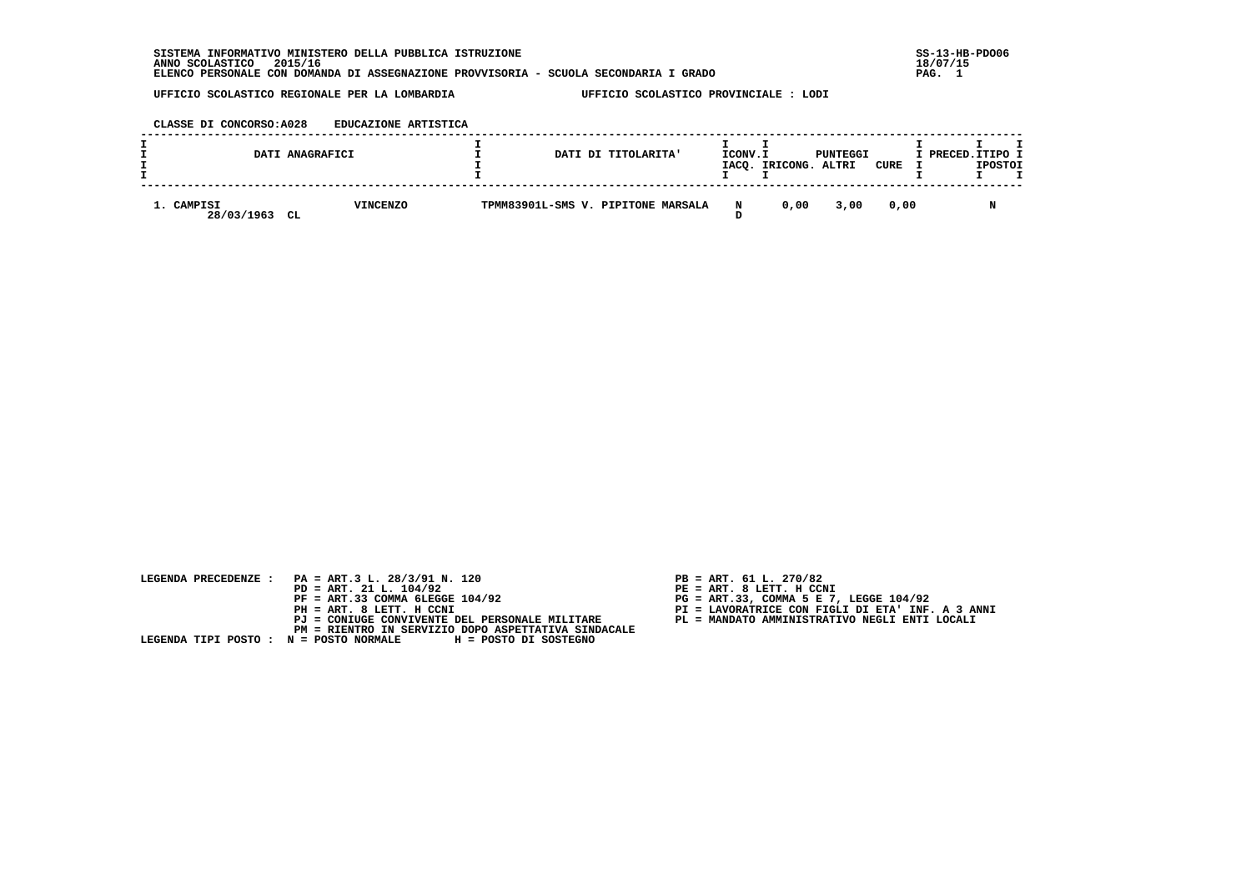SISTEMA INFORMATIVO MINISTERO DELLA PUBBLICA ISTRUZIONE  **ANNO SCOLASTICO 2015/16 18/07/15 ELENCO PERSONALE CON DOMANDA DI ASSEGNAZIONE PROVVISORIA - SCUOLA SECONDARIA I GRADO PAG. 1**

 $\overline{\phantom{a}}$ 

 **UFFICIO SCOLASTICO REGIONALE PER LA LOMBARDIA UFFICIO SCOLASTICO PROVINCIALE : LODI**

# **CLASSE DI CONCORSO:A028 EDUCAZIONE ARTISTICA**

|                          | DATI ANAGRAFICI       |  | DATI DI TITOLARITA'                | ICONV.I | IACQ. IRICONG. | PUNTEGGI<br>ALTRI | CURE . | I PRECED. ITIPO I | <b>IPOSTOI</b> |  |
|--------------------------|-----------------------|--|------------------------------------|---------|----------------|-------------------|--------|-------------------|----------------|--|
| 1. CAMPISI<br>28/03/1963 | <b>VINCENZO</b><br>CL |  | TPMM83901L-SMS V. PIPITONE MARSALA | N       | 0.00           | 3,00              | 0.00   |                   |                |  |

| LEGENDA PRECEDENZE : PA = ART.3 L. 28/3/91 N. 120                     | $PB = ART. 61 L. 270/82$                         |
|-----------------------------------------------------------------------|--------------------------------------------------|
| $PD = ART. 21 L. 104/92$                                              | PE = ART. 8 LETT. H CCNI                         |
| $PF = ART.33 COMMA 6LEGGE 104/92$                                     | $PG = ART.33$ , COMMA 5 E 7, LEGGE 104/92        |
| PH = ART. 8 LETT. H CCNI                                              | PI = LAVORATRICE CON FIGLI DI ETA' INF. A 3 ANNI |
| PJ = CONIUGE CONVIVENTE DEL PERSONALE MILITARE                        | PL = MANDATO AMMINISTRATIVO NEGLI ENTI LOCALI    |
| PM = RIENTRO IN SERVIZIO DOPO ASPETTATIVA SINDACALE                   |                                                  |
| LEGENDA TIPI POSTO : N = POSTO NORMALE          H = POSTO DI SOSTEGNO |                                                  |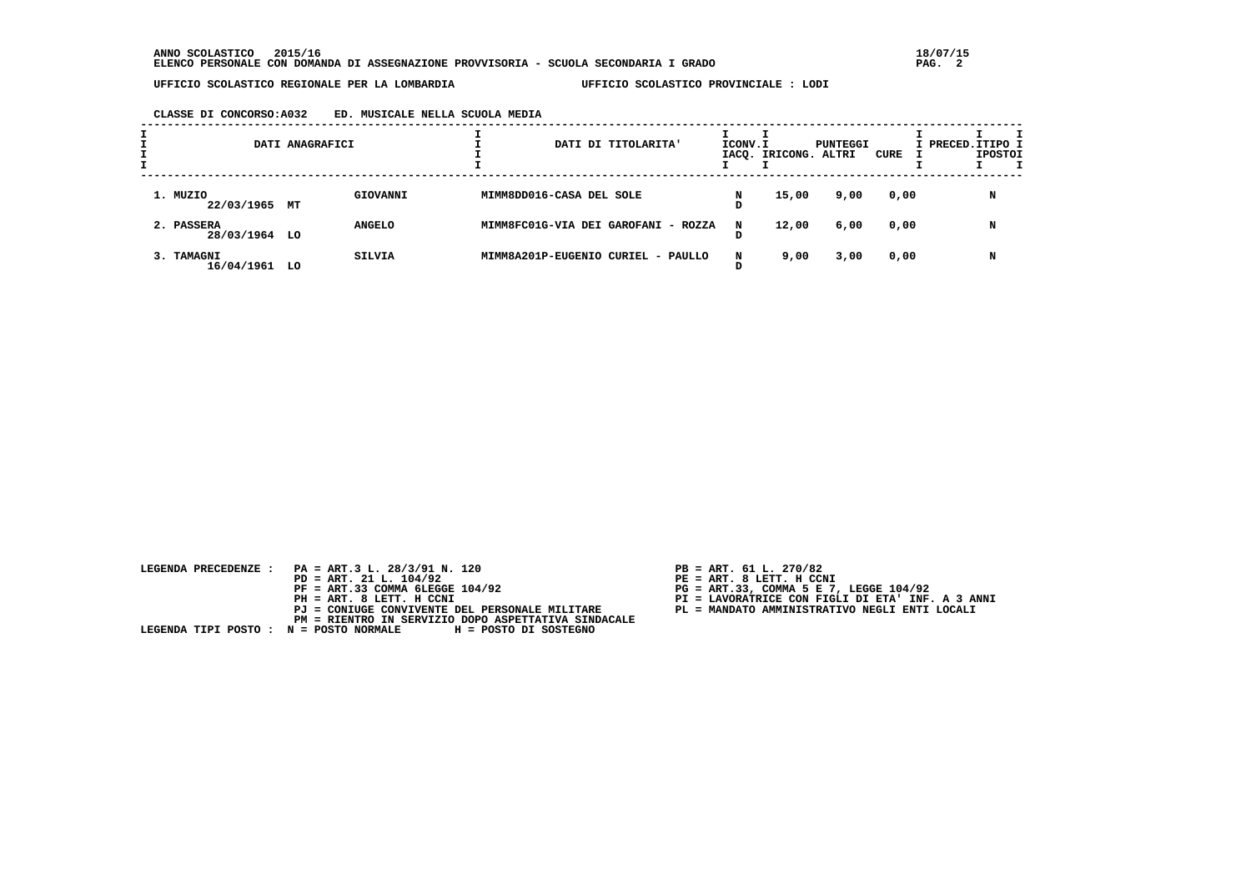## **CLASSE DI CONCORSO:A032 ED. MUSICALE NELLA SCUOLA MEDIA**

|                             | DATI ANAGRAFICI |               |                          | DATI DI TITOLARITA'                 | ICONV.I | IACQ. IRICONG. ALTRI | PUNTEGGI | CURE | I PRECED. ITIPO I | <b>IPOSTOI</b> |  |
|-----------------------------|-----------------|---------------|--------------------------|-------------------------------------|---------|----------------------|----------|------|-------------------|----------------|--|
| 1. MUZIO<br>22/03/1965 MT   |                 | GIOVANNI      | MIMM8DD016-CASA DEL SOLE |                                     | N       | 15,00                | 9,00     | 0,00 |                   | N              |  |
| 2. PASSERA<br>28/03/1964 LO |                 | <b>ANGELO</b> |                          | MIMM8FC01G-VIA DEI GAROFANI - ROZZA | N       | 12,00                | 6,00     | 0,00 |                   | N              |  |
| 3. TAMAGNI<br>16/04/1961 LO |                 | <b>SILVIA</b> |                          | MIMM8A201P-EUGENIO CURIEL - PAULLO  | N       | 9,00                 | 3,00     | 0,00 |                   | N              |  |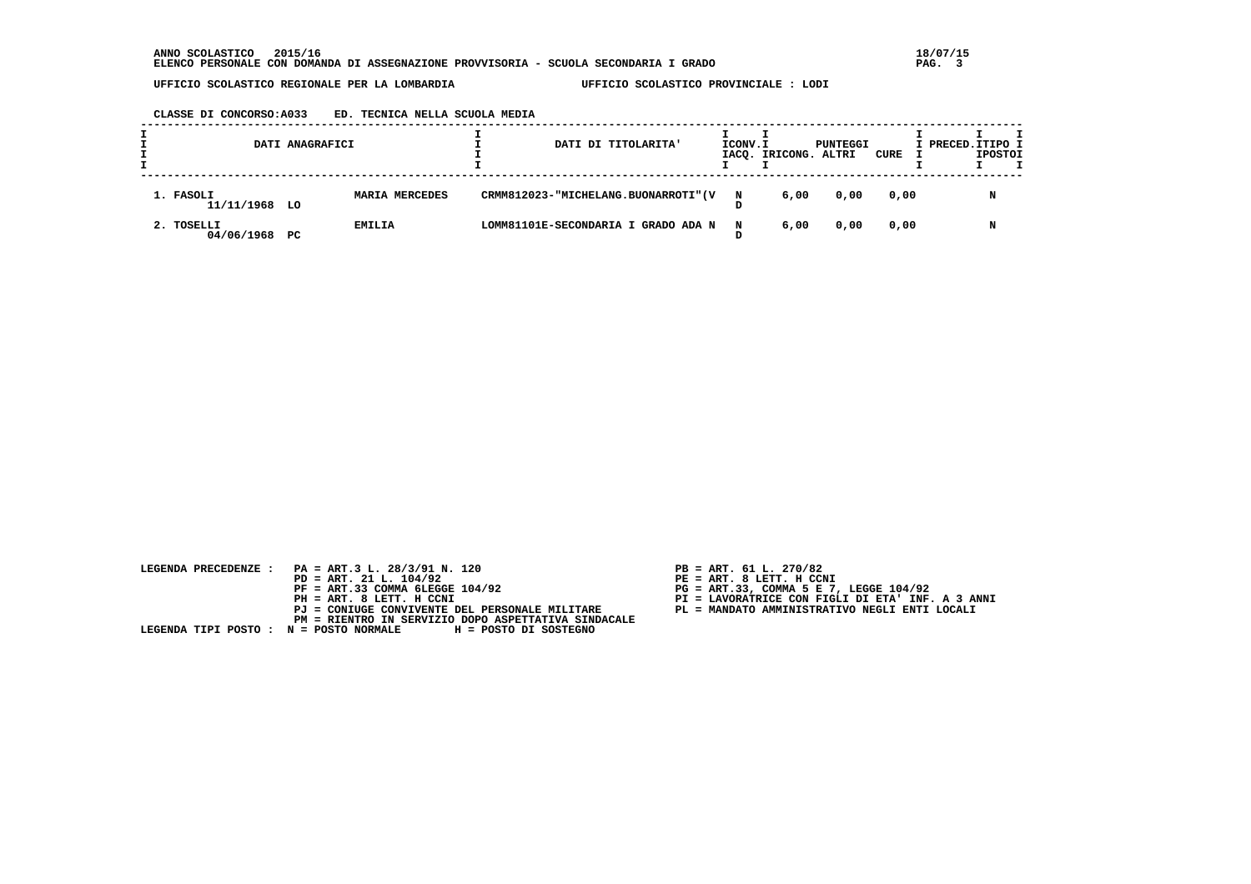**CLASSE DI CONCORSO:A033 ED. TECNICA NELLA SCUOLA MEDIA**

|                             | DATI ANAGRAFICI |                |  | DATI DI TITOLARITA'                  | ICONV.I | IACO. IRICONG. ALTRI | PUNTEGGI | CURE | I PRECED. ITIPO I | <b>IPOSTOI</b> |  |
|-----------------------------|-----------------|----------------|--|--------------------------------------|---------|----------------------|----------|------|-------------------|----------------|--|
| 1. FASOLI<br>11/11/1968 LO  |                 | MARIA MERCEDES |  | CRMM812023-"MICHELANG.BUONARROTI" (V | N       | 6,00                 | 0,00     | 0,00 |                   | N              |  |
| 2. TOSELLI<br>04/06/1968 PC |                 | <b>EMILIA</b>  |  | LOMM81101E-SECONDARIA I GRADO ADA N  | N       | 6,00                 | 0,00     | 0,00 |                   | N              |  |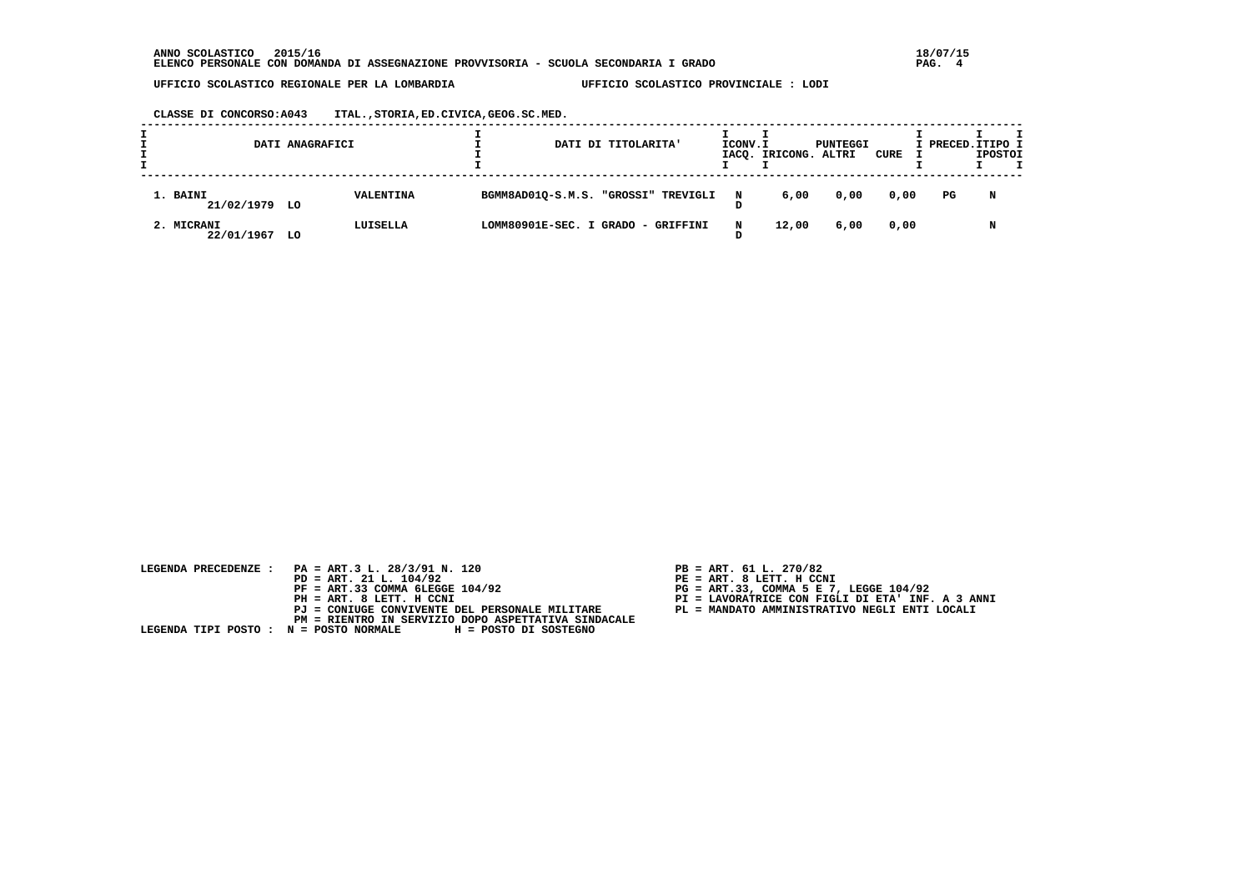**CLASSE DI CONCORSO:A043 ITAL.,STORIA,ED.CIVICA,GEOG.SC.MED.**

|                             | DATI ANAGRAFICI |           |  | DATI DI TITOLARITA'                 |   | ICONV.I<br>IACQ. IRICONG. ALTRI | PUNTEGGI | CURE | I PRECED. ITIPO I | <b>IPOSTOI</b> |  |
|-----------------------------|-----------------|-----------|--|-------------------------------------|---|---------------------------------|----------|------|-------------------|----------------|--|
| 1. BAINI<br>21/02/1979 LO   |                 | VALENTINA |  | BGMM8AD01Q-S.M.S. "GROSSI" TREVIGLI | N | 6,00                            | 0,00     | 0,00 | PG                | N              |  |
| 2. MICRANI<br>22/01/1967 LO |                 | LUISELLA  |  | LOMM80901E-SEC. I GRADO - GRIFFINI  | N | 12,00                           | 6,00     | 0,00 |                   |                |  |

- 
- 
- 
-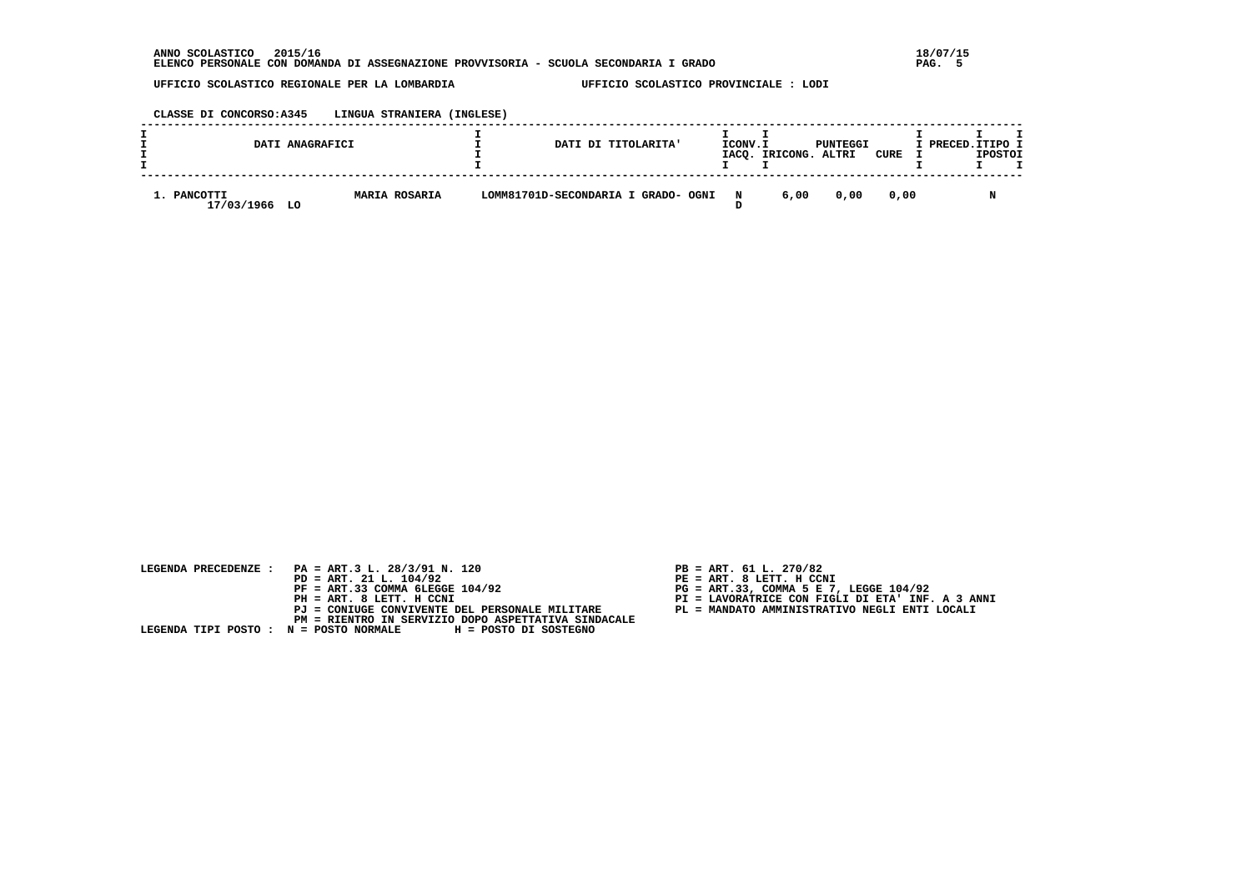#### **CLASSE DI CONCORSO:A345 LINGUA STRANIERA (INGLESE)**

|                           | DATI ANAGRAFICI |                      |                                     | DATI DI TITOLARITA' | ICONV.I     | IACQ. IRICONG. ALTRI | PUNTEGGI | CURE . | I PRECED. ITIPO I | <b>IPOSTOI</b> |  |
|---------------------------|-----------------|----------------------|-------------------------------------|---------------------|-------------|----------------------|----------|--------|-------------------|----------------|--|
| 1. PANCOTTI<br>17/03/1966 | LO              | <b>MARIA ROSARIA</b> | LOMM81701D-SECONDARIA I GRADO- OGNI |                     | $\mathbf N$ | 6,00                 | 0.00     | 0.00   |                   |                |  |